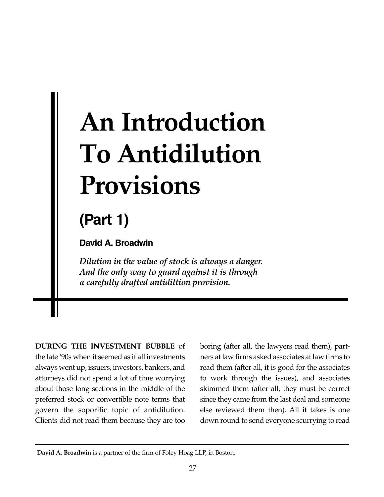# **An Introduction To Antidilution Provisions**

## **(Part 1)**

**David A. Broadwin**

*Dilution in the value of stock is always a danger. And the only way to guard against it is through a carefully drafted antidiltion provision.* 

**DURING THE INVESTMENT BUBBLE** of the late '90s when it seemed as if all investments always went up, issuers, investors, bankers, and attorneys did not spend a lot of time worrying about those long sections in the middle of the preferred stock or convertible note terms that govern the soporific topic of antidilution. Clients did not read them because they are too

boring (after all, the lawyers read them), partners at law firms asked associates at law firms to read them (after all, it is good for the associates to work through the issues), and associates skimmed them (after all, they must be correct since they came from the last deal and someone else reviewed them then). All it takes is one down round to send everyone scurrying to read

**David A. Broadwin** is a partner of the firm of Foley Hoag LLP, in Boston.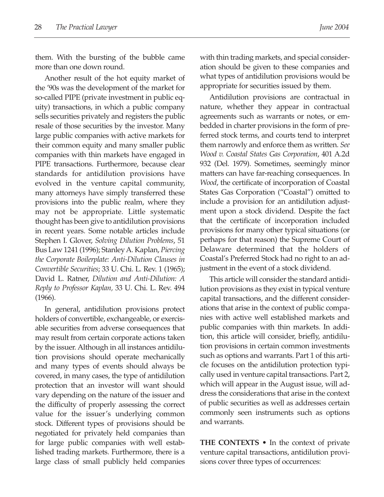them. With the bursting of the bubble came more than one down round.

Another result of the hot equity market of the '90s was the development of the market for so-called PIPE (private investment in public equity) transactions, in which a public company sells securities privately and registers the public resale of those securities by the investor. Many large public companies with active markets for their common equity and many smaller public companies with thin markets have engaged in PIPE transactions. Furthermore, because clear standards for antidilution provisions have evolved in the venture capital community, many attorneys have simply transferred these provisions into the public realm, where they may not be appropriate. Little systematic thought has been give to antidilution provisions in recent years. Some notable articles include Stephen I. Glover, *Solving Dilution Problems*, 51 Bus Law 1241 (1996); Stanley A. Kaplan, *Piercing the Corporate Boilerplate: Anti-Dilution Clauses in Convertible Securities*; 33 U. Chi. L. Rev. 1 (1965); David L. Ratner, *Dilution and Anti-Dilution: A Reply to Professor Kaplan,* 33 U. Chi. L. Rev. 494 (1966).

In general, antidilution provisions protect holders of convertible, exchangeable, or exercisable securities from adverse consequences that may result from certain corporate actions taken by the issuer. Although in all instances antidilution provisions should operate mechanically and many types of events should always be covered, in many cases, the type of antidilution protection that an investor will want should vary depending on the nature of the issuer and the difficulty of properly assessing the correct value for the issuer's underlying common stock. Different types of provisions should be negotiated for privately held companies than for large public companies with well established trading markets. Furthermore, there is a large class of small publicly held companies with thin trading markets, and special consideration should be given to these companies and what types of antidilution provisions would be appropriate for securities issued by them.

Antidilution provisions are contractual in nature, whether they appear in contractual agreements such as warrants or notes, or embedded in charter provisions in the form of preferred stock terms, and courts tend to interpret them narrowly and enforce them as written. *See Wood v. Coastal States Gas Corporation*, 401 A.2d 932 (Del. 1979). Sometimes, seemingly minor matters can have far-reaching consequences. In *Wood*, the certificate of incorporation of Coastal States Gas Corporation ("Coastal") omitted to include a provision for an antidilution adjustment upon a stock dividend. Despite the fact that the certificate of incorporation included provisions for many other typical situations (or perhaps for that reason) the Supreme Court of Delaware determined that the holders of Coastal's Preferred Stock had no right to an adjustment in the event of a stock dividend.

This article will consider the standard antidilution provisions as they exist in typical venture capital transactions, and the different considerations that arise in the context of public companies with active well established markets and public companies with thin markets. In addition, this article will consider, briefly, antidilution provisions in certain common investments such as options and warrants. Part 1 of this article focuses on the antidilution protection typically used in venture capital transactions. Part 2, which will appear in the August issue, will address the considerations that arise in the context of public securities as well as addresses certain commonly seen instruments such as options and warrants.

**THE CONTEXTS •** In the context of private venture capital transactions, antidilution provisions cover three types of occurrences: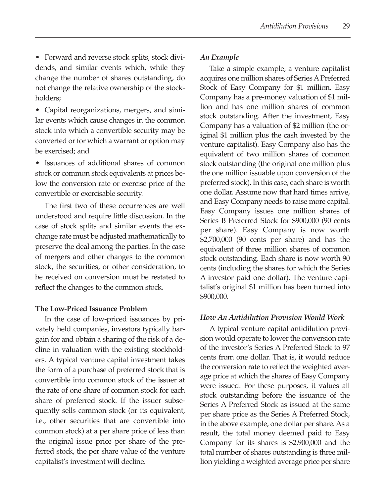• Forward and reverse stock splits, stock dividends, and similar events which, while they change the number of shares outstanding, do not change the relative ownership of the stockholders;

• Capital reorganizations, mergers, and similar events which cause changes in the common stock into which a convertible security may be converted or for which a warrant or option may be exercised; and

• Issuances of additional shares of common stock or common stock equivalents at prices below the conversion rate or exercise price of the convertible or exercisable security.

The first two of these occurrences are well understood and require little discussion. In the case of stock splits and similar events the exchange rate must be adjusted mathematically to preserve the deal among the parties. In the case of mergers and other changes to the common stock, the securities, or other consideration, to be received on conversion must be restated to reflect the changes to the common stock.

#### **The Low-Priced Issuance Problem**

In the case of low-priced issuances by privately held companies, investors typically bargain for and obtain a sharing of the risk of a decline in valuation with the existing stockholders. A typical venture capital investment takes the form of a purchase of preferred stock that is convertible into common stock of the issuer at the rate of one share of common stock for each share of preferred stock. If the issuer subsequently sells common stock (or its equivalent, i.e., other securities that are convertible into common stock) at a per share price of less than the original issue price per share of the preferred stock, the per share value of the venture capitalist's investment will decline.

#### *An Example*

Take a simple example, a venture capitalist acquires one million shares of Series APreferred Stock of Easy Company for \$1 million. Easy Company has a pre-money valuation of \$1 million and has one million shares of common stock outstanding. After the investment, Easy Company has a valuation of \$2 million (the original \$1 million plus the cash invested by the venture capitalist). Easy Company also has the equivalent of two million shares of common stock outstanding (the original one million plus the one million issuable upon conversion of the preferred stock). In this case, each share is worth one dollar. Assume now that hard times arrive, and Easy Company needs to raise more capital. Easy Company issues one million shares of Series B Preferred Stock for \$900,000 (90 cents per share). Easy Company is now worth \$2,700,000 (90 cents per share) and has the equivalent of three million shares of common stock outstanding. Each share is now worth 90 cents (including the shares for which the Series A investor paid one dollar). The venture capitalist's original \$1 million has been turned into \$900,000.

#### *How An Antidilution Provision Would Work*

A typical venture capital antidilution provision would operate to lower the conversion rate of the investor's Series A Preferred Stock to 97 cents from one dollar. That is, it would reduce the conversion rate to reflect the weighted average price at which the shares of Easy Company were issued. For these purposes, it values all stock outstanding before the issuance of the Series A Preferred Stock as issued at the same per share price as the Series A Preferred Stock, in the above example, one dollar per share. As a result, the total money deemed paid to Easy Company for its shares is \$2,900,000 and the total number of shares outstanding is three million yielding a weighted average price per share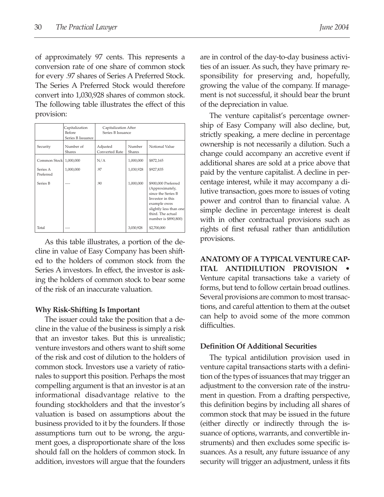of approximately 97 cents. This represents a conversion rate of one share of common stock for every .97 shares of Series A Preferred Stock. The Series A Preferred Stock would therefore convert into 1,030,928 shares of common stock. The following table illustrates the effect of this provision:

|                        | Capitalization<br>Before<br>Series B Issuance | Capitalization After<br>Series B Issuance |                  |                                                                                                                                                                         |
|------------------------|-----------------------------------------------|-------------------------------------------|------------------|-------------------------------------------------------------------------------------------------------------------------------------------------------------------------|
| Security               | Number of<br>Shares                           | Adjusted<br>Converted Rate                | Number<br>Shares | Notional Value                                                                                                                                                          |
| Common Stock 1,000,000 |                                               | N/A                                       | 1,000,000        | \$872,165                                                                                                                                                               |
| Series A<br>Preferred  | 1,000,000                                     | .97                                       | 1,030,928        | \$927,835                                                                                                                                                               |
| Series B               |                                               | .90                                       | 1,000,000        | \$900,000 Preferred<br>(Approximately,<br>since the Series B<br>Investor in this<br>example owes<br>slightly less than one<br>third. The actual<br>number is \$890,800) |
| Total                  |                                               |                                           | 3,030,928        | \$2,700,000                                                                                                                                                             |

As this table illustrates, a portion of the decline in value of Easy Company has been shifted to the holders of common stock from the Series A investors. In effect, the investor is asking the holders of common stock to bear some of the risk of an inaccurate valuation.

#### **Why Risk-Shifting Is Important**

The issuer could take the position that a decline in the value of the business is simply a risk that an investor takes. But this is unrealistic; venture investors and others want to shift some of the risk and cost of dilution to the holders of common stock. Investors use a variety of rationales to support this position. Perhaps the most compelling argument is that an investor is at an informational disadvantage relative to the founding stockholders and that the investor's valuation is based on assumptions about the business provided to it by the founders. If those assumptions turn out to be wrong, the argument goes, a disproportionate share of the loss should fall on the holders of common stock. In addition, investors will argue that the founders are in control of the day-to-day business activities of an issuer. As such, they have primary responsibility for preserving and, hopefully, growing the value of the company. If management is not successful, it should bear the brunt of the depreciation in value.

The venture capitalist's percentage ownership of Easy Company will also decline, but, strictly speaking, a mere decline in percentage ownership is not necessarily a dilution. Such a change could accompany an accretive event if additional shares are sold at a price above that paid by the venture capitalist. A decline in percentage interest, while it may accompany a dilutive transaction, goes more to issues of voting power and control than to financial value. A simple decline in percentage interest is dealt with in other contractual provisions such as rights of first refusal rather than antidilution provisions.

**ANATOMY OF A TYPICAL VENTURE CAP-ITAL ANTIDILUTION PROVISION** Venture capital transactions take a variety of forms, but tend to follow certain broad outlines. Several provisions are common to most transactions, and careful attention to them at the outset can help to avoid some of the more common difficulties.

#### **Definition Of Additional Securities**

The typical antidilution provision used in venture capital transactions starts with a definition of the types of issuances that may trigger an adjustment to the conversion rate of the instrument in question. From a drafting perspective, this definition begins by including all shares of common stock that may be issued in the future (either directly or indirectly through the issuance of options, warrants, and convertible instruments) and then excludes some specific issuances. As a result, any future issuance of any security will trigger an adjustment, unless it fits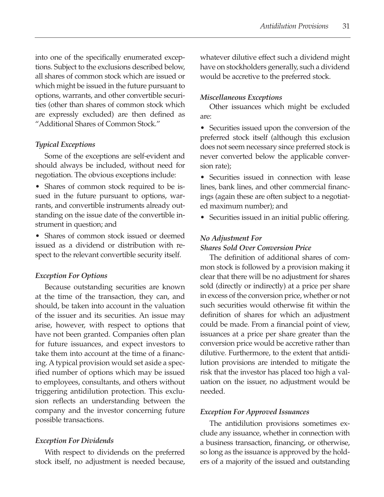into one of the specifically enumerated exceptions. Subject to the exclusions described below, all shares of common stock which are issued or which might be issued in the future pursuant to options, warrants, and other convertible securities (other than shares of common stock which are expressly excluded) are then defined as "Additional Shares of Common Stock."

#### *Typical Exceptions*

Some of the exceptions are self-evident and should always be included, without need for negotiation. The obvious exceptions include:

• Shares of common stock required to be issued in the future pursuant to options, warrants, and convertible instruments already outstanding on the issue date of the convertible instrument in question; and

• Shares of common stock issued or deemed issued as a dividend or distribution with respect to the relevant convertible security itself.

#### *Exception For Options*

Because outstanding securities are known at the time of the transaction, they can, and should, be taken into account in the valuation of the issuer and its securities. An issue may arise, however, with respect to options that have not been granted. Companies often plan for future issuances, and expect investors to take them into account at the time of a financing. A typical provision would set aside a specified number of options which may be issued to employees, consultants, and others without triggering antidilution protection. This exclusion reflects an understanding between the company and the investor concerning future possible transactions.

#### *Exception For Dividends*

With respect to dividends on the preferred stock itself, no adjustment is needed because, whatever dilutive effect such a dividend might have on stockholders generally, such a dividend would be accretive to the preferred stock.

#### *Miscellaneous Exceptions*

Other issuances which might be excluded are:

• Securities issued upon the conversion of the preferred stock itself (although this exclusion does not seem necessary since preferred stock is never converted below the applicable conversion rate);

• Securities issued in connection with lease lines, bank lines, and other commercial financings (again these are often subject to a negotiated maximum number); and

• Securities issued in an initial public offering.

#### *No Adjustment For*

*Shares Sold Over Conversion Price*

The definition of additional shares of common stock is followed by a provision making it clear that there will be no adjustment for shares sold (directly or indirectly) at a price per share in excess of the conversion price, whether or not such securities would otherwise fit within the definition of shares for which an adjustment could be made. From a financial point of view, issuances at a price per share greater than the conversion price would be accretive rather than dilutive. Furthermore, to the extent that antidilution provisions are intended to mitigate the risk that the investor has placed too high a valuation on the issuer, no adjustment would be needed.

#### *Exception For Approved Issuances*

The antidilution provisions sometimes exclude any issuance, whether in connection with a business transaction, financing, or otherwise, so long as the issuance is approved by the holders of a majority of the issued and outstanding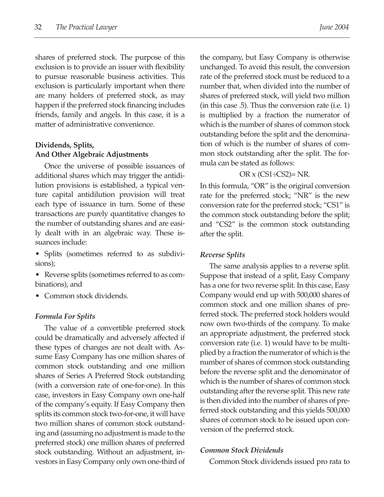shares of preferred stock. The purpose of this exclusion is to provide an issuer with flexibility to pursue reasonable business activities. This exclusion is particularly important when there are many holders of preferred stock, as may happen if the preferred stock financing includes friends, family and angels. In this case, it is a matter of administrative convenience.

#### **Dividends, Splits, And Other Algebraic Adjustments**

Once the universe of possible issuances of additional shares which may trigger the antidilution provisions is established, a typical venture capital antidilution provision will treat each type of issuance in turn. Some of these transactions are purely quantitative changes to the number of outstanding shares and are easily dealt with in an algebraic way. These issuances include:

- Splits (sometimes referred to as subdivisions);
- Reverse splits (sometimes referred to as combinations), and
- Common stock dividends.

#### *Formula For Splits*

The value of a convertible preferred stock could be dramatically and adversely affected if these types of changes are not dealt with. Assume Easy Company has one million shares of common stock outstanding and one million shares of Series A Preferred Stock outstanding (with a conversion rate of one-for-one). In this case, investors in Easy Company own one-half of the company's equity. If Easy Company then splits its common stock two-for-one, it will have two million shares of common stock outstanding and (assuming no adjustment is made to the preferred stock) one million shares of preferred stock outstanding. Without an adjustment, investors in Easy Company only own one-third of the company, but Easy Company is otherwise unchanged. To avoid this result, the conversion rate of the preferred stock must be reduced to a number that, when divided into the number of shares of preferred stock, will yield two million (in this case .5). Thus the conversion rate (i.e. 1) is multiplied by a fraction the numerator of which is the number of shares of common stock outstanding before the split and the denomination of which is the number of shares of common stock outstanding after the split. The formula can be stated as follows:

#### OR  $\times$  (CS1÷CS2)= NR.

In this formula, "OR" is the original conversion rate for the preferred stock; "NR" is the new conversion rate for the preferred stock; "CS1" is the common stock outstanding before the split; and "CS2" is the common stock outstanding after the split.

#### *Reverse Splits*

The same analysis applies to a reverse split. Suppose that instead of a split, Easy Company has a one for two reverse split. In this case, Easy Company would end up with 500,000 shares of common stock and one million shares of preferred stock. The preferred stock holders would now own two-thirds of the company. To make an appropriate adjustment, the preferred stock conversion rate (i.e. 1) would have to be multiplied by a fraction the numerator of which is the number of shares of common stock outstanding before the reverse split and the denominator of which is the number of shares of common stock outstanding after the reverse split. This new rate is then divided into the number of shares of preferred stock outstanding and this yields 500,000 shares of common stock to be issued upon conversion of the preferred stock.

#### *Common Stock Dividends*

Common Stock dividends issued pro rata to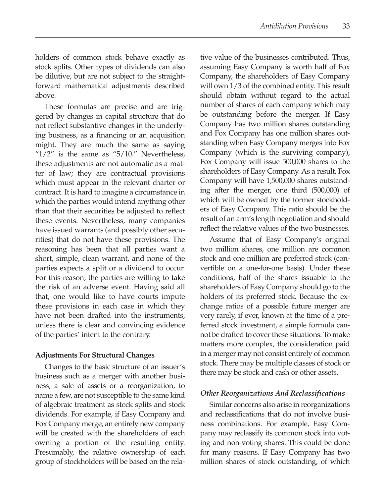holders of common stock behave exactly as stock splits. Other types of dividends can also be dilutive, but are not subject to the straightforward mathematical adjustments described above.

These formulas are precise and are triggered by changes in capital structure that do not reflect substantive changes in the underlying business, as a financing or an acquisition might. They are much the same as saying " $1/2$ " is the same as " $5/10$ ." Nevertheless, these adjustments are not automatic as a matter of law; they are contractual provisions which must appear in the relevant charter or contract. It is hard to imagine a circumstance in which the parties would intend anything other than that their securities be adjusted to reflect these events. Nevertheless, many companies have issued warrants (and possibly other securities) that do not have these provisions. The reasoning has been that all parties want a short, simple, clean warrant, and none of the parties expects a split or a dividend to occur. For this reason, the parties are willing to take the risk of an adverse event. Having said all that, one would like to have courts impute these provisions in each case in which they have not been drafted into the instruments, unless there is clear and convincing evidence of the parties' intent to the contrary.

#### **Adjustments For Structural Changes**

Changes to the basic structure of an issuer's business such as a merger with another business, a sale of assets or a reorganization, to name a few, are not susceptible to the same kind of algebraic treatment as stock splits and stock dividends. For example, if Easy Company and Fox Company merge, an entirely new company will be created with the shareholders of each owning a portion of the resulting entity. Presumably, the relative ownership of each group of stockholders will be based on the rela-

tive value of the businesses contributed. Thus, assuming Easy Company is worth half of Fox Company, the shareholders of Easy Company will own 1/3 of the combined entity. This result should obtain without regard to the actual number of shares of each company which may be outstanding before the merger. If Easy Company has two million shares outstanding and Fox Company has one million shares outstanding when Easy Company merges into Fox Company (which is the surviving company), Fox Company will issue 500,000 shares to the shareholders of Easy Company. As a result, Fox Company will have 1,500,000 shares outstanding after the merger, one third (500,000) of which will be owned by the former stockholders of Easy Company. This ratio should be the result of an arm's length negotiation and should reflect the relative values of the two businesses.

Assume that of Easy Company's original two million shares, one million are common stock and one million are preferred stock (convertible on a one-for-one basis). Under these conditions, half of the shares issuable to the shareholders of Easy Company should go to the holders of its preferred stock. Because the exchange ratios of a possible future merger are very rarely, if ever, known at the time of a preferred stock investment, a simple formula cannot be drafted to cover these situations. To make matters more complex, the consideration paid in a merger may not consist entirely of common stock. There may be multiple classes of stock or there may be stock and cash or other assets.

#### *Other Reorganizations And Reclassifications*

Similar concerns also arise in reorganizations and reclassifications that do not involve business combinations. For example, Easy Company may reclassify its common stock into voting and non-voting shares. This could be done for many reasons. If Easy Company has two million shares of stock outstanding, of which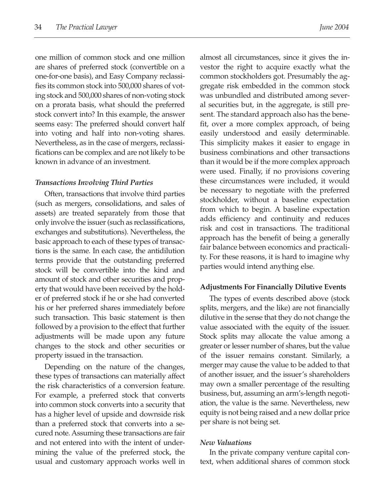one million of common stock and one million are shares of preferred stock (convertible on a one-for-one basis), and Easy Company reclassifies its common stock into 500,000 shares of voting stock and 500,000 shares of non-voting stock on a prorata basis, what should the preferred stock convert into? In this example, the answer seems easy: The preferred should convert half into voting and half into non-voting shares. Nevertheless, as in the case of mergers, reclassifications can be complex and are not likely to be known in advance of an investment.

#### *Transactions Involving Third Parties*

Often, transactions that involve third parties (such as mergers, consolidations, and sales of assets) are treated separately from those that only involve the issuer (such as reclassifications, exchanges and substitutions). Nevertheless, the basic approach to each of these types of transactions is the same. In each case, the antidilution terms provide that the outstanding preferred stock will be convertible into the kind and amount of stock and other securities and property that would have been received by the holder of preferred stock if he or she had converted his or her preferred shares immediately before such transaction. This basic statement is then followed by a provision to the effect that further adjustments will be made upon any future changes to the stock and other securities or property issued in the transaction.

Depending on the nature of the changes, these types of transactions can materially affect the risk characteristics of a conversion feature. For example, a preferred stock that converts into common stock converts into a security that has a higher level of upside and downside risk than a preferred stock that converts into a secured note. Assuming these transactions are fair and not entered into with the intent of undermining the value of the preferred stock, the usual and customary approach works well in almost all circumstances, since it gives the investor the right to acquire exactly what the common stockholders got. Presumably the aggregate risk embedded in the common stock was unbundled and distributed among several securities but, in the aggregate, is still present. The standard approach also has the benefit, over a more complex approach, of being easily understood and easily determinable. This simplicity makes it easier to engage in business combinations and other transactions than it would be if the more complex approach were used. Finally, if no provisions covering these circumstances were included, it would be necessary to negotiate with the preferred stockholder, without a baseline expectation from which to begin. A baseline expectation adds efficiency and continuity and reduces risk and cost in transactions. The traditional approach has the benefit of being a generally fair balance between economics and practicality. For these reasons, it is hard to imagine why parties would intend anything else.

#### **Adjustments For Financially Dilutive Events**

The types of events described above (stock splits, mergers, and the like) are not financially dilutive in the sense that they do not change the value associated with the equity of the issuer. Stock splits may allocate the value among a greater or lesser number of shares, but the value of the issuer remains constant. Similarly, a merger may cause the value to be added to that of another issuer, and the issuer's shareholders may own a smaller percentage of the resulting business, but, assuming an arm's-length negotiation, the value is the same. Nevertheless, new equity is not being raised and a new dollar price per share is not being set.

#### *New Valuations*

In the private company venture capital context, when additional shares of common stock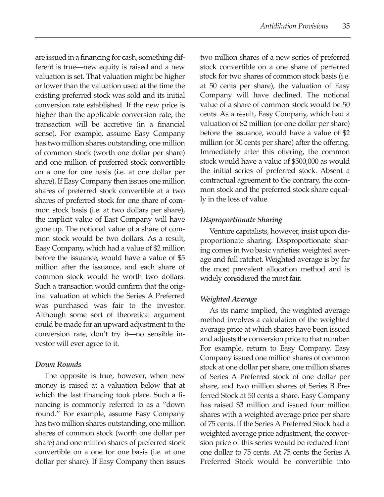are issued in a financing for cash, something different is true—new equity is raised and a new valuation is set. That valuation might be higher or lower than the valuation used at the time the existing preferred stock was sold and its initial conversion rate established. If the new price is higher than the applicable conversion rate, the transaction will be accretive (in a financial sense). For example, assume Easy Company has two million shares outstanding, one million of common stock (worth one dollar per share) and one million of preferred stock convertible on a one for one basis (i.e. at one dollar per share). If Easy Company then issues one million shares of preferred stock convertible at a two shares of preferred stock for one share of common stock basis (i.e. at two dollars per share), the implicit value of East Company will have gone up. The notional value of a share of common stock would be two dollars. As a result, Easy Company, which had a value of \$2 million before the issuance, would have a value of \$5 million after the issuance, and each share of common stock would be worth two dollars. Such a transaction would confirm that the original valuation at which the Series A Preferred was purchased was fair to the investor. Although some sort of theoretical argument could be made for an upward adjustment to the conversion rate, don't try it—no sensible investor will ever agree to it.

#### *Down Rounds*

The opposite is true, however, when new money is raised at a valuation below that at which the last financing took place. Such a financing is commonly referred to as a "down round." For example, assume Easy Company has two million shares outstanding, one million shares of common stock (worth one dollar per share) and one million shares of preferred stock convertible on a one for one basis (i.e. at one dollar per share). If Easy Company then issues two million shares of a new series of preferred stock convertible on a one share of perferred stock for two shares of common stock basis (i.e. at 50 cents per share), the valuation of Easy Company will have declined. The notional value of a share of common stock would be 50 cents. As a result, Easy Company, which had a valuation of \$2 million (or one dollar per share) before the issuance, would have a value of \$2 million (or 50 cents per share) after the offering. Immediately after this offering, the common stock would have a value of \$500,000 as would the initial series of preferred stock. Absent a contractual agreement to the contrary, the common stock and the preferred stock share equally in the loss of value.

#### *Disproportionate Sharing*

Venture capitalists, however, insist upon disproportionate sharing. Disproportionate sharing comes in two basic varieties: weighted average and full ratchet. Weighted average is by far the most prevalent allocation method and is widely considered the most fair.

#### *Weighted Average*

As its name implied, the weighted average method involves a calculation of the weighted average price at which shares have been issued and adjusts the conversion price to that number. For example, return to Easy Company. Easy Company issued one million shares of common stock at one dollar per share, one million shares of Series A Preferred stock of one dollar per share, and two million shares of Series B Preferred Stock at 50 cents a share. Easy Company has raised \$3 million and issued four million shares with a weighted average price per share of 75 cents. If the Series A Preferred Stock had a weighted average price adjustment, the conversion price of this series would be reduced from one dollar to 75 cents. At 75 cents the Series A Preferred Stock would be convertible into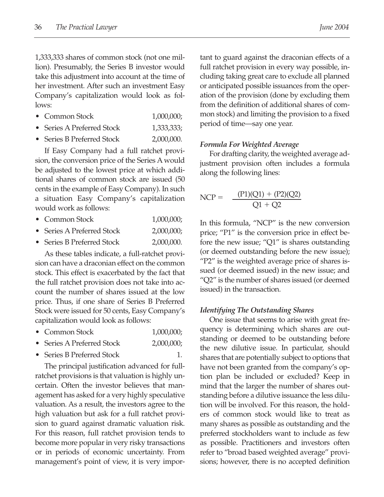1,333,333 shares of common stock (not one million). Presumably, the Series B investor would take this adjustment into account at the time of her investment. After such an investment Easy Company's capitalization would look as follows:

- Common Stock 1,000,000;
- Series A Preferred Stock 1,333,333;
- Series B Preferred Stock 2,000,000.

If Easy Company had a full ratchet provision, the conversion price of the Series A would be adjusted to the lowest price at which additional shares of common stock are issued (50 cents in the example of Easy Company). In such a situation Easy Company's capitalization would work as follows:

- Common Stock 1,000,000;
- Series A Preferred Stock 2,000,000;
- Series B Preferred Stock 2,000,000.

As these tables indicate, a full-ratchet provision can have a draconian effect on the common stock. This effect is exacerbated by the fact that the full ratchet provision does not take into account the number of shares issued at the low price. Thus, if one share of Series B Preferred Stock were issued for 50 cents, Easy Company's capitalization would look as follows:

- Common Stock 1,000,000;
- Series A Preferred Stock 2,000,000;
- Series B Preferred Stock 1.

The principal justification advanced for fullratchet provisions is that valuation is highly uncertain. Often the investor believes that management has asked for a very highly speculative valuation. As a result, the investors agree to the high valuation but ask for a full ratchet provision to guard against dramatic valuation risk. For this reason, full ratchet provision tends to become more popular in very risky transactions or in periods of economic uncertainty. From management's point of view, it is very important to guard against the draconian effects of a full ratchet provision in every way possible, including taking great care to exclude all planned or anticipated possible issuances from the operation of the provision (done by excluding them from the definition of additional shares of common stock) and limiting the provision to a fixed period of time—say one year.

#### *Formula For Weighted Average*

For drafting clarity, the weighted average adjustment provision often includes a formula along the following lines:

$$
NCP = \frac{(P1)(Q1) + (P2)(Q2)}{Q1 + Q2}
$$

In this formula, "NCP" is the new conversion price; "P1" is the conversion price in effect before the new issue; "Q1" is shares outstanding (or deemed outstanding before the new issue); "P2" is the weighted average price of shares issued (or deemed issued) in the new issue; and "Q2" is the number of shares issued (or deemed issued) in the transaction.

#### *Identifying The Outstanding Shares*

One issue that seems to arise with great frequency is determining which shares are outstanding or deemed to be outstanding before the new dilutive issue. In particular, should shares that are potentially subject to options that have not been granted from the company's option plan be included or excluded? Keep in mind that the larger the number of shares outstanding before a dilutive issuance the less dilution will be involved. For this reason, the holders of common stock would like to treat as many shares as possible as outstanding and the preferred stockholders want to include as few as possible. Practitioners and investors often refer to "broad based weighted average" provisions; however, there is no accepted definition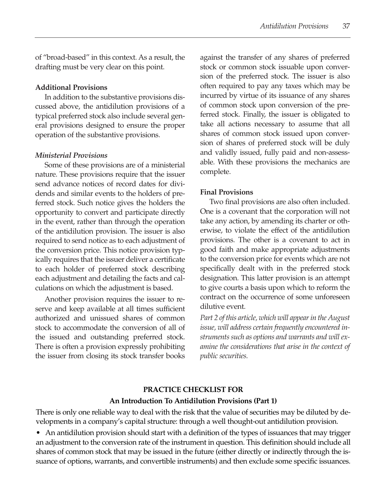of "broad-based" in this context. As a result, the drafting must be very clear on this point.

#### **Additional Provisions**

In addition to the substantive provisions discussed above, the antidilution provisions of a typical preferred stock also include several general provisions designed to ensure the proper operation of the substantive provisions.

#### *Ministerial Provisions*

Some of these provisions are of a ministerial nature. These provisions require that the issuer send advance notices of record dates for dividends and similar events to the holders of preferred stock. Such notice gives the holders the opportunity to convert and participate directly in the event, rather than through the operation of the antidilution provision. The issuer is also required to send notice as to each adjustment of the conversion price. This notice provision typically requires that the issuer deliver a certificate to each holder of preferred stock describing each adjustment and detailing the facts and calculations on which the adjustment is based.

Another provision requires the issuer to reserve and keep available at all times sufficient authorized and unissued shares of common stock to accommodate the conversion of all of the issued and outstanding preferred stock. There is often a provision expressly prohibiting the issuer from closing its stock transfer books against the transfer of any shares of preferred stock or common stock issuable upon conversion of the preferred stock. The issuer is also often required to pay any taxes which may be incurred by virtue of its issuance of any shares of common stock upon conversion of the preferred stock. Finally, the issuer is obligated to take all actions necessary to assume that all shares of common stock issued upon conversion of shares of preferred stock will be duly and validly issued, fully paid and non-assessable. With these provisions the mechanics are complete.

#### **Final Provisions**

Two final provisions are also often included. One is a covenant that the corporation will not take any action, by amending its charter or otherwise, to violate the effect of the antidilution provisions. The other is a covenant to act in good faith and make appropriate adjustments to the conversion price for events which are not specifically dealt with in the preferred stock designation. This latter provision is an attempt to give courts a basis upon which to reform the contract on the occurrence of some unforeseen dilutive event.

*Part 2 of this article, which will appear in the August issue, will address certain frequently encountered instruments such as options and warrants and will examine the considerations that arise in the context of public securities.* 

#### **PRACTICE CHECKLIST FOR An Introduction To Antidilution Provisions (Part 1)**

There is only one reliable way to deal with the risk that the value of securities may be diluted by developments in a company's capital structure: through a well thought-out antidilution provision.

• An antidilution provision should start with a definition of the types of issuances that may trigger an adjustment to the conversion rate of the instrument in question. This definition should include all shares of common stock that may be issued in the future (either directly or indirectly through the issuance of options, warrants, and convertible instruments) and then exclude some specific issuances.